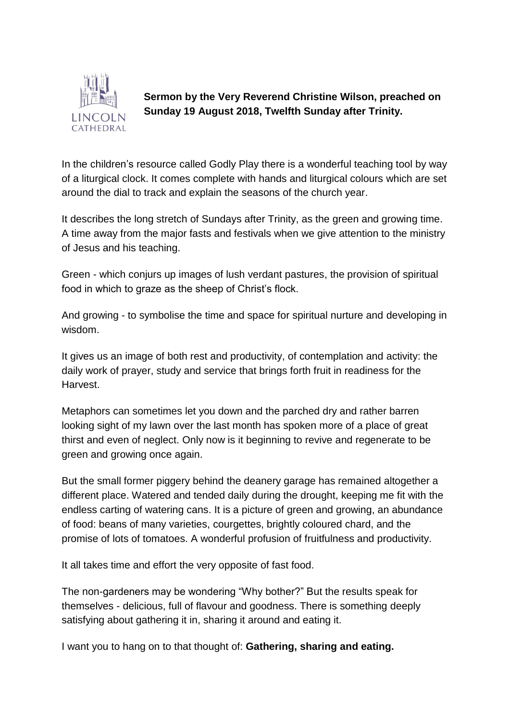

**Sermon by the Very Reverend Christine Wilson, preached on Sunday 19 August 2018, Twelfth Sunday after Trinity.** 

In the children's resource called Godly Play there is a wonderful teaching tool by way of a liturgical clock. It comes complete with hands and liturgical colours which are set around the dial to track and explain the seasons of the church year.

It describes the long stretch of Sundays after Trinity, as the green and growing time. A time away from the major fasts and festivals when we give attention to the ministry of Jesus and his teaching.

Green - which conjurs up images of lush verdant pastures, the provision of spiritual food in which to graze as the sheep of Christ's flock.

And growing - to symbolise the time and space for spiritual nurture and developing in wisdom.

It gives us an image of both rest and productivity, of contemplation and activity: the daily work of prayer, study and service that brings forth fruit in readiness for the Harvest.

Metaphors can sometimes let you down and the parched dry and rather barren looking sight of my lawn over the last month has spoken more of a place of great thirst and even of neglect. Only now is it beginning to revive and regenerate to be green and growing once again.

But the small former piggery behind the deanery garage has remained altogether a different place. Watered and tended daily during the drought, keeping me fit with the endless carting of watering cans. It is a picture of green and growing, an abundance of food: beans of many varieties, courgettes, brightly coloured chard, and the promise of lots of tomatoes. A wonderful profusion of fruitfulness and productivity.

It all takes time and effort the very opposite of fast food.

The non-gardeners may be wondering "Why bother?" But the results speak for themselves - delicious, full of flavour and goodness. There is something deeply satisfying about gathering it in, sharing it around and eating it.

I want you to hang on to that thought of: **Gathering, sharing and eating.**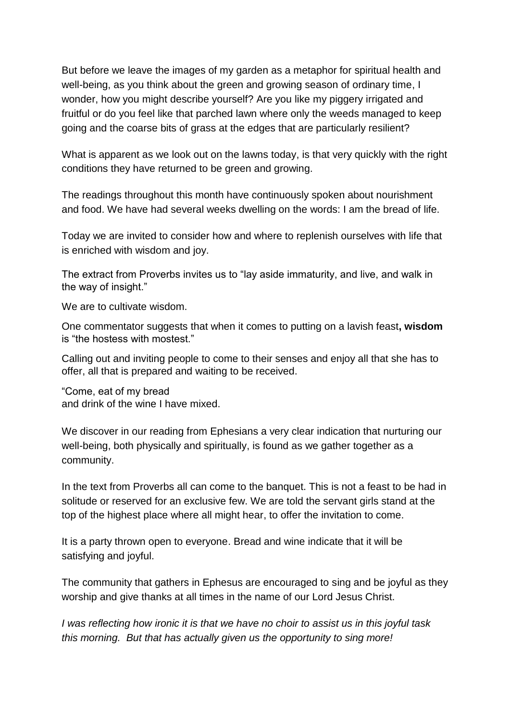But before we leave the images of my garden as a metaphor for spiritual health and well-being, as you think about the green and growing season of ordinary time, I wonder, how you might describe yourself? Are you like my piggery irrigated and fruitful or do you feel like that parched lawn where only the weeds managed to keep going and the coarse bits of grass at the edges that are particularly resilient?

What is apparent as we look out on the lawns today, is that very quickly with the right conditions they have returned to be green and growing.

The readings throughout this month have continuously spoken about nourishment and food. We have had several weeks dwelling on the words: I am the bread of life.

Today we are invited to consider how and where to replenish ourselves with life that is enriched with wisdom and joy.

The extract from Proverbs invites us to "lay aside immaturity, and live, and walk in the way of insight."

We are to cultivate wisdom.

One commentator suggests that when it comes to putting on a lavish feast**, wisdom** is "the hostess with mostest."

Calling out and inviting people to come to their senses and enjoy all that she has to offer, all that is prepared and waiting to be received.

"Come, eat of my bread and drink of the wine I have mixed.

We discover in our reading from Ephesians a very clear indication that nurturing our well-being, both physically and spiritually, is found as we gather together as a community.

In the text from Proverbs all can come to the banquet. This is not a feast to be had in solitude or reserved for an exclusive few. We are told the servant girls stand at the top of the highest place where all might hear, to offer the invitation to come.

It is a party thrown open to everyone. Bread and wine indicate that it will be satisfying and joyful.

The community that gathers in Ephesus are encouraged to sing and be joyful as they worship and give thanks at all times in the name of our Lord Jesus Christ.

*I was reflecting how ironic it is that we have no choir to assist us in this joyful task this morning. But that has actually given us the opportunity to sing more!*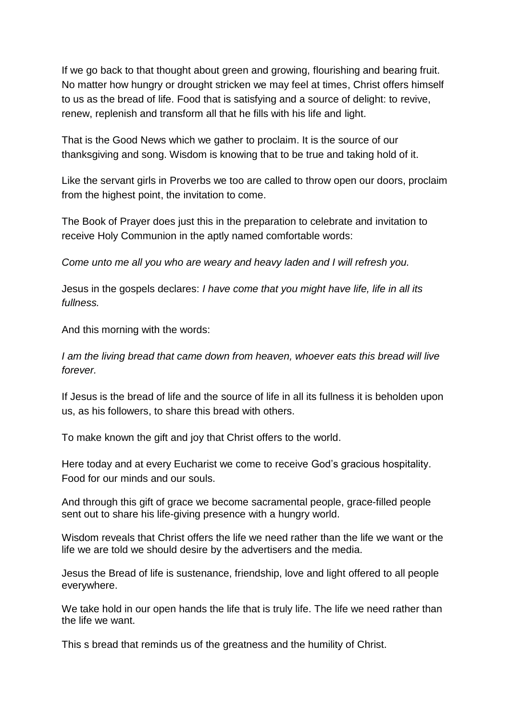If we go back to that thought about green and growing, flourishing and bearing fruit. No matter how hungry or drought stricken we may feel at times, Christ offers himself to us as the bread of life. Food that is satisfying and a source of delight: to revive, renew, replenish and transform all that he fills with his life and light.

That is the Good News which we gather to proclaim. It is the source of our thanksgiving and song. Wisdom is knowing that to be true and taking hold of it.

Like the servant girls in Proverbs we too are called to throw open our doors, proclaim from the highest point, the invitation to come.

The Book of Prayer does just this in the preparation to celebrate and invitation to receive Holy Communion in the aptly named comfortable words:

*Come unto me all you who are weary and heavy laden and I will refresh you.*

Jesus in the gospels declares: *I have come that you might have life, life in all its fullness.*

And this morning with the words:

*I am the living bread that came down from heaven, whoever eats this bread will live forever.*

If Jesus is the bread of life and the source of life in all its fullness it is beholden upon us, as his followers, to share this bread with others.

To make known the gift and joy that Christ offers to the world.

Here today and at every Eucharist we come to receive God's gracious hospitality. Food for our minds and our souls.

And through this gift of grace we become sacramental people, grace-filled people sent out to share his life-giving presence with a hungry world.

Wisdom reveals that Christ offers the life we need rather than the life we want or the life we are told we should desire by the advertisers and the media.

Jesus the Bread of life is sustenance, friendship, love and light offered to all people everywhere.

We take hold in our open hands the life that is truly life. The life we need rather than the life we want.

This s bread that reminds us of the greatness and the humility of Christ.